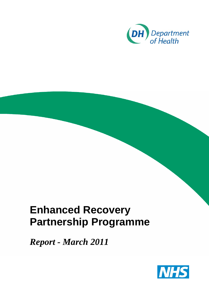

## **Enhanced Recovery Partnership Programme**

*Report - March 2011* 

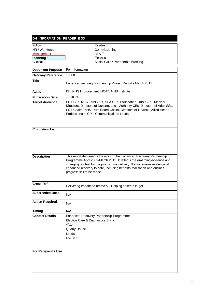| DH INFORMATION READER BOX  |                                                                                                                                                                                                                                                                                                                                   |  |
|----------------------------|-----------------------------------------------------------------------------------------------------------------------------------------------------------------------------------------------------------------------------------------------------------------------------------------------------------------------------------|--|
| Policy                     | <b>Estates</b>                                                                                                                                                                                                                                                                                                                    |  |
| HR / Workforce             | Commissioning                                                                                                                                                                                                                                                                                                                     |  |
| Management                 | IM & T                                                                                                                                                                                                                                                                                                                            |  |
| Planning/                  | Finance                                                                                                                                                                                                                                                                                                                           |  |
| Clinical                   | Social Care / Partnership Working                                                                                                                                                                                                                                                                                                 |  |
| <b>Document Purpose</b>    | For Information                                                                                                                                                                                                                                                                                                                   |  |
|                            | 15868                                                                                                                                                                                                                                                                                                                             |  |
| <b>Gateway Reference</b>   |                                                                                                                                                                                                                                                                                                                                   |  |
| Title                      | Enhanced recovery Partnership Project Report - March 2011                                                                                                                                                                                                                                                                         |  |
| Author                     | DH, NHS Improvement, NCAT, NHS Institute                                                                                                                                                                                                                                                                                          |  |
| <b>Publication Date</b>    | 19 Jul 2011                                                                                                                                                                                                                                                                                                                       |  |
| <b>Target Audience</b>     | PCT CEs, NHS Trust CEs, SHA CEs, Foundation Trust CEs, Medical<br>Directors, Directors of Nursing, Local Authority CEs, Directors of Adult SSs,<br>PCT Chairs, NHS Trust Board Chairs, Directors of Finance, Allied Health<br>Professionals, GPs, Communications Leads                                                            |  |
| <b>Circulation List</b>    |                                                                                                                                                                                                                                                                                                                                   |  |
| <b>Description</b>         | This report documents the work of the Enhanced Recovery Partnership<br>Programme April 2009-March 2011. It reflects the emerging evidence and<br>changing context for the programme delivery. It also reviews evidence of<br>enhanced recovery to date, including benefits realisation and outlines<br>progress still to be made. |  |
| <b>Cross Ref</b>           | Delivering enhanced recovery - Helping patients to get                                                                                                                                                                                                                                                                            |  |
| <b>Superseded Docs</b>     | N/A                                                                                                                                                                                                                                                                                                                               |  |
| <b>Action Required</b>     | N/A                                                                                                                                                                                                                                                                                                                               |  |
| <b>Timing</b>              | <b>N/A</b>                                                                                                                                                                                                                                                                                                                        |  |
| <b>Contact Details</b>     | Enhanced Recovery Partnership Programme<br>Elective Care & Diagnostics Branch<br>4N14<br><b>Quarry House</b><br>Leeds<br>LS2 7UE                                                                                                                                                                                                  |  |
| <b>For Recipient's Use</b> |                                                                                                                                                                                                                                                                                                                                   |  |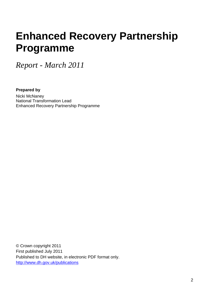# **Enhanced Recovery Partnership Programme**

*Report - March 2011* 

**Prepared by** Nicki McNaney National Transformation Lead Enhanced Recovery Partnership Programme

© Crown copyright 2011 First published July 2011 Published to DH website, in electronic PDF format only. <http://www.dh.gov.uk/publications>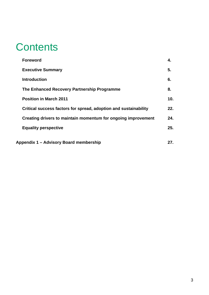### **Contents**

| <b>Foreword</b>                                                  | 4.  |
|------------------------------------------------------------------|-----|
| <b>Executive Summary</b>                                         | 5.  |
| <b>Introduction</b>                                              | 6.  |
| The Enhanced Recovery Partnership Programme                      | 8.  |
| <b>Position in March 2011</b>                                    | 10. |
| Critical success factors for spread, adoption and sustainability | 22. |
| Creating drivers to maintain momentum for ongoing improvement    | 24. |
| <b>Equality perspective</b>                                      | 25. |
| Appendix 1 – Advisory Board membership                           | 27. |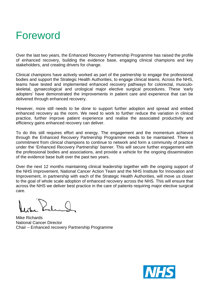### Foreword

Over the last two years, the Enhanced Recovery Partnership Programme has raised the profile of enhanced recovery, building the evidence base, engaging clinical champions and key stakeholders, and creating drivers for change.

Clinical champions have actively worked as part of the partnership to engage the professional bodies and support the Strategic Health Authorities, to engage clinical teams. Across the NHS, teams have tested and implemented enhanced recovery pathways for colorectal, musculoskeletal, gynaecological and urological major elective surgical procedures. These 'early adopters' have demonstrated the improvements in patient care and experience that can be delivered through enhanced recovery.

However, more still needs to be done to support further adoption and spread and embed enhanced recovery as the norm. We need to work to further reduce the variation in clinical practice, further improve patient experience and realise the associated productivity and efficiency gains enhanced recovery can deliver.

To do this still requires effort and energy. The engagement and the momentum achieved through the Enhanced Recovery Partnership Programme needs to be maintained. There is commitment from clinical champions to continue to network and form a community of practice under the 'Enhanced Recovery Partnership' banner. This will secure further engagement with the professional bodies and associations, and provide a vehicle for the ongoing dissemination of the evidence base built over the past two years.

Over the next 12 months maintaining clinical leadership together with the ongoing support of the NHS Improvement, National Cancer Action Team and the NHS Institute for Innovation and Improvement, in partnership with each of the Strategic Health Authorities, will move us closer to the goal of whole scale adoption of enhanced recovery across the NHS. This will ensure that across the NHS we deliver best practice in the care of patients requiring major elective surgical care.

Mike Richards National Cancer Director Chair – Enhanced recovery Partnership Programme

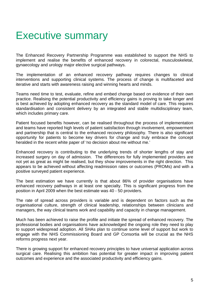### Executive summary

The Enhanced Recovery Partnership Programme was established to support the NHS to implement and realise the benefits of enhanced recovery in colorectal, musculoskeletal, gynaecology and urology major elective surgical pathways.

The implementation of an enhanced recovery pathway requires changes to clinical interventions and supporting clinical systems. The process of change is multifaceted and iterative and starts with awareness raising and winning hearts and minds.

Teams need time to test, evaluate, refine and embed change based on evidence of their own practice. Realising the potential productivity and efficiency gains is proving to take longer and is best achieved by adopting enhanced recovery as the standard model of care. This requires standardisation and consistent delivery by an integrated and stable multidisciplinary team, which includes primary care.

Patient focused benefits however, can be realised throughout the process of implementation and teams have reported high levels of patient satisfaction through involvement, empowerment and partnership that is central to the enhanced recovery philosophy. There is also significant opportunity for patients to become key drivers for change and truly embrace the concept heralded in the recent white paper of 'no decision about me without me.'

Enhanced recovery is contributing to the underlying trends of shorter lengths of stay and increased surgery on day of admission. The differences for fully implemented providers are not yet as great as might be realised, but they show improvements in the right direction. This appears to be achieved without affecting readmission rates or outcomes (PROMs) and with a positive surveyed patient experience.

The best estimation we have currently is that about 86% of provider organisations have enhanced recovery pathways in at least one specialty. This is significant progress from the position in April 2009 when the best estimate was 40 - 50 providers.

The rate of spread across providers is variable and is dependent on factors such as the organisational culture, strength of clinical leadership, relationships between clinicians and managers, the way clinical teams work and capability and capacity in change management.

Much has been achieved to raise the profile and initiate the spread of enhanced recovery. The professional bodies and organisations have acknowledged the ongoing role they need to play to support widespread adoption. All SHAs plan to continue some level of support but work to engage with the NHS Commissioning Board and GP Consortia will be crucial as the NHS reforms progress next year.

There is growing support for enhanced recovery principles to have universal application across surgical care. Realising this ambition has potential for greater impact in improving patient outcomes and experience and the associated productivity and efficiency gains.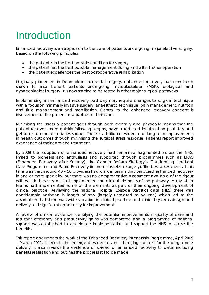# Introduction

Enhanced recovery is an approach to the care of patients undergoing major elective surgery, based on the following principles:

- the patient is in the best possible condition for surgery
- the patient has the best possible management during and after his/her operation
- the patient experiences the best post-operative rehabilitation

Originally pioneered in Denmark in colorectal surgery, enhanced recovery has now been shown to also benefit patients undergoing musculoskeletal (MSK), urological and gynaecological surgery. It is now starting to be tested in other major surgical pathways.

Implementing an enhanced recovery pathway may require changes to surgical technique with a focus on minimally invasive surgery, anaesthetic technique, pain management, nutrition and fluid management and mobilisation. Central to the enhanced recovery concept is involvement of the patient as a partner in their care.

Minimising the stress a patient goes through both mentally and physically means that the patient recovers more quickly following surgery, have a reduced length of hospital stay and get back to normal activities sooner. There is additional evidence of long term improvements in health outcomes through minimising the surgical stress response. Patients report improved experience of their care and treatment.

By 2009 the adoption of enhanced recovery had remained fragmented across the NHS, limited to pioneers and enthusiasts and supported through programmes such as ERAS (Enhanced Recovery after Surgery), the Cancer Reform Strategy's; Transforming Inpatient Care Programme and Rapid Recovery (in musculoskeletal surgery). The best assessment at this time was that around 40 – 50 providers had clinical teams that practised enhanced recovery in one or more specialty, but there was no comprehensive assessment available of the rigour with which these teams had implemented the clinical elements of the pathway. Many other teams had implemented some of the elements as part of their ongoing development of clinical practice. Reviewing the national Hospital Episode Statistics data (HES) there was considerable variation in length of stay (largely unrelated to volume) which led to the assumption that there was wide variation in clinical practice and clinical systems design and delivery and significant opportunity for improvement.

A review of clinical evidence identifying the potential improvements in quality of care and resultant efficiency and productivity gains was completed and a programme of national support was established to accelerate implementation and support the NHS to realise the benefits.

This report documents the work of the Enhanced Recovery Partnership Programme, April 2009 – March 2011. It reflects the emergent evidence and changing context for the programme delivery. It also reviews the evidence of spread of enhanced recovery to date, including benefits realisation and outlines the progress still to be made.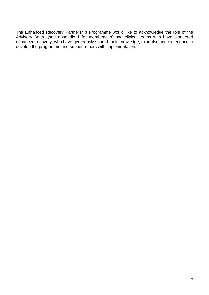The Enhanced Recovery Partnership Programme would like to acknowledge the role of the Advisory Board (see appendix 1 for membership) and clinical teams who have pioneered enhanced recovery, who have generously shared their knowledge, expertise and experience to develop the programme and support others with implementation.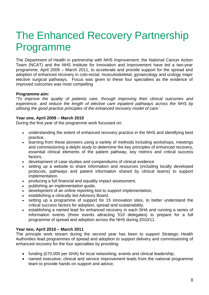# The Enhanced Recovery Partnership Programme

The Department of Health in partnership with NHS Improvement, the National Cancer Action Team (NCAT) and the NHS Institute for Innovation and Improvement have led a two-year programme, April 2009 – March 2011, to accelerate and provide support for the spread and adoption of enhanced recovery in colo-rectal, musculoskeletal, gynaecology and urology major elective surgical pathways. Focus was given to these four specialties as the evidence of improved outcomes was most compelling

#### *Programme aim:*

*'To improve the quality of patients care, through improving their clinical outcomes and experience, and reduce the length of elective care inpatient pathways across the NHS by utilising the good practice principles of the enhanced recovery model of care.'*

#### **Year one, April 2009 – March 2010**

During the first year of the programme work focussed on:

- understanding the extent of enhanced recovery practice in the NHS and identifying best practice,
- learning from these pioneers using a variety of methods including workshops, meetings and commissioning a delphi study to determine the key principles of enhanced recovery, essential clinical elements of the patient pathway, key metrics and critical success factors,
- development of case studies and compendiums of clinical evidence
- setting up a website to share information and resources (including locally developed protocols, pathways and patient information shared by clinical teams) to support implementation,
- producing a full financial and equality impact assessment,
- publishing an implementation guide,
- development of an online reporting tool to support implementation,
- establishing a clinically led Advisory Board,
- setting up a programme of support for 15 innovation sites, to better understand the critical success factors for adoption, spread and sustainability,
- establishing a named lead for enhanced recovery in each SHA and running a series of information events (three events attracting 510 delegates) to prepare for a full programme of spread and adoption across the NHS during 2010/11.

#### **Year two, April 2010 – March 2011**

The principle work stream during the second year has been to support Strategic Health Authorities lead programmes of spread and adoption to support delivery and commissioning of enhanced recovery for the four specialties by providing:

- funding (£70,000 per SHA) for local networking, events and clinical leadership,
- named executive, clinical and service improvement leads from the national programme team to provide hands on support and advice,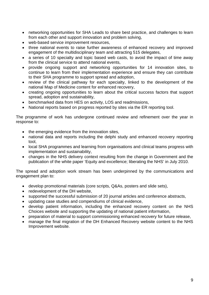- networking opportunities for SHA Leads to share best practice, and challenges to learn from each other and support innovation and problem solving,
- web-based service improvement resources,
- three national events to raise further awareness of enhanced recovery and improved engagement of the multidisciplinary team and attracting 515 delegates,
- a series of 10 specialty and topic based web casts, to avoid the impact of time away from the clinical service to attend national events,
- provide ongoing support and networking opportunities for 14 innovation sites, to continue to learn from their implementation experience and ensure they can contribute to their SHA programme to support spread and adoption,
- review of the clinical pathway for each specialty, linked to the development of the national Map of Medicine content for enhanced recovery,
- creating ongoing opportunities to learn about the critical success factors that support spread, adoption and sustainability,
- benchmarked data from HES on activity, LOS and readmissions,
- National reports based on progress reported by sites via the ER reporting tool.

The programme of work has undergone continued review and refinement over the year in response to:

- the emerging evidence from the innovation sites,
- national data and reports including the delphi study and enhanced recovery reporting tool,
- local SHA programmes and learning from organisations and clinical teams progress with implementation and sustainability,
- changes in the NHS delivery context resulting from the change in Government and the publication of the white paper 'Equity and excellence; liberating the NHS' in July 2010.

The spread and adoption work stream has been underpinned by the communications and engagement plan to:

- develop promotional materials (core scripts, Q&As, posters and slide sets),
- redevelopment of the DH website,
- supported the successful submission of 20 journal articles and conference abstracts,
- updating case studies and compendiums of clinical evidence,
- develop patient information, including the enhanced recovery content on the NHS Choices website and supporting the updating of national patient information,
- preparation of material to support commissioning enhanced recovery for future release,
- manage the final migration of the DH Enhanced Recovery website content to the NHS Improvement website.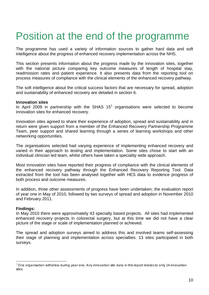# Position at the end of the programme

The programme has used a variety of information sources to gather hard data and soft intelligence about the progress of enhanced recovery implementation across the NHS.

This section presents information about the progress made by the innovation sites, together with the national picture comparing key outcome measures of length of hospital stay, readmission rates and patient experience. It also presents data from the reporting tool on process measures of compliance with the clinical elements of the enhanced recovery pathway.

The soft intelligence about the critical success factors that are necessary for spread, adoption and sustainability of enhanced recovery are detailed in section 6.

#### **Innovation sites**

In April 2009 in partnership with the SHAS  $15<sup>1</sup>$  $15<sup>1</sup>$  organisations were selected to become innovation sites for enhanced recovery.

Innovation sites agreed to share their experience of adoption, spread and sustainability and in return were given support from a member of the Enhanced Recovery Partnership Programme Team, peer support and shared learning through a series of learning workshops and other networking opportunities.

The organisations selected had varying experience of implementing enhanced recovery and varied in their approach to testing and implementation. Some sites chose to start with an individual clinician led team, whilst others have taken a speciality wide approach.

Most innovation sites have reported their progress of compliance with the clinical elements of the enhanced recovery pathway through the Enhanced Recovery Reporting Tool. Data extracted from the tool has been analysed together with HES data to evidence progress of both process and outcome measures.

In addition, three other assessments of progress have been undertaken; the evaluation report of year one in May of 2010, followed by two surveys of spread and adoption in November 2010 and February 2011.

#### **Findings:**

In May 2010 there were approximately 43 specialty based projects. All sites had implemented enhanced recovery projects in colorectal surgery, but at this time we did not have a clear picture of the stage or scale of implementation planned or achieved.

The spread and adoption surveys aimed to address this and involved teams self-assessing their stage of planning and implementation across specialties. 13 sites participated in both surveys.

<span id="page-10-0"></span> $1$  One organisation withdrew during year one. Any innovation site data in this report relates to only 14 innovation sites.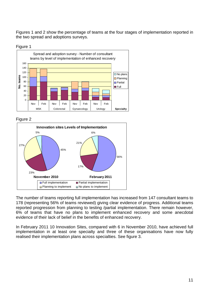Figures 1 and 2 show the percentage of teams at the four stages of implementation reported in the two spread and adoptions surveys.



Figure 2



The number of teams reporting full implementation has increased from 147 consultant teams to 178 (representing 56% of teams reviewed) giving clear evidence of progress. Additional teams reported progression from planning to testing /partial implementation. There remain however, 6% of teams that have no plans to implement enhanced recovery and some anecdotal evidence of their lack of belief in the benefits of enhanced recovery.

In February 2011 10 Innovation Sites, compared with 6 in November 2010, have achieved full implementation in at least one specialty and three of these organisations have now fully realised their implementation plans across specialties. See figure 3.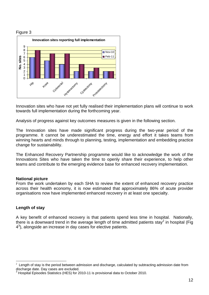#### Figure 3



Innovation sites who have not yet fully realised their implementation plans will continue to work towards full implementation during the forthcoming year.

Analysis of progress against key outcomes measures is given in the following section.

The Innovation sites have made significant progress during the two-year period of the programme. It cannot be underestimated the time, energy and effort it takes teams from winning hearts and minds through to planning, testing, implementation and embedding practice change for sustainability.

The Enhanced Recovery Partnership programme would like to acknowledge the work of the Innovations Sites who have taken the time to openly share their experience, to help other teams and contribute to the emerging evidence base for enhanced recovery implementation.

#### **National picture**

From the work undertaken by each SHA to review the extent of enhanced recovery practice across their health economy, it is now estimated that approximately 86% of acute provider organisations now have implemented enhanced recovery in at least one specialty.

#### **Length of stay**

A key benefit of enhanced recovery is that patients spend less time in hospital. Nationally, there is a downward trend in the average length of time admitted patients stay<sup>[2](#page-12-0)</sup> in hospital (Fig 4<sup>3</sup>), alongside an increase in day cases for elective patients.

<span id="page-12-0"></span> $\frac{1}{2}$  $2$  Length of stay is the period between admission and discharge, calculated by subtracting admission date from discharge date. Day cases are excluded.

<span id="page-12-1"></span> $3$  Hospital Episodes Statistics (HES) for 2010-11 is provisional data to October 2010.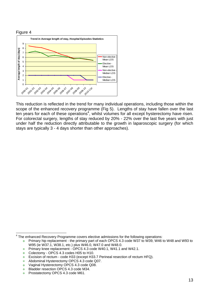

This reduction is reflected in the trend for many individual operations, including those within the scope of the enhanced recovery programme (Fig 5). Lengths of stay have fallen over the last ten years for each of these operations<sup>4</sup>, whilst volumes for all except hysterectomy have risen. For colorectal surgery, lengths of stay reduced by 20% - 22% over the last five years with just under half the reduction directly attributable to the growth in laparoscopic surgery (for which stays are typically 3 - 4 days shorter than other approaches).

<span id="page-13-0"></span><sup>&</sup>lt;sup>4</sup> The enhanced Recovery Programme covers elective admissions for the following operations:

ö Primary hip replacement - the primary part of each OPCS 4.3 code W37 to W39, W46 to W48 and W93 to W95 (ie W37.1, W38.1, etc.) plus W46.0, W47.0 and W48.0.

Primary knee replacement - OPCS 4.3 code W40.1, W41.1 and W42.1. ó

Colectomy - OPCS 4.3 codes H05 to H10. a.

Excision of rectum - code H33 (except H33.7 Perineal resection of rectum HFQ). e.

Abdominal Hysterectomy OPCS 4.3 code Q07. C.

Vaginal Hysterectomy OPCS 4.3 code Q08.  $\bullet$ 

Bladder resection OPCS 4.3 code M34. ۰

۰ Prostatectomy OPCS 4.3 code M61.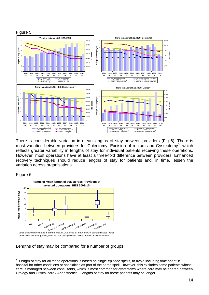

here is considerable variation in mean lengths of stay between providers (Fig 6). There is T most variation between providers for Colectomy, Excision of rectum and Cystectomy<sup>[5](#page-14-0)</sup>, which reflects greater variability in lengths of stay for individual patients receiving these operations. However, most operations have at least a three-fold difference between providers. Enhanced recovery techniques should reduce lengths of stay for patients and, in time, lessen the variation across organisations.



1



Lengths of stay may be compared for a number of groups:

<span id="page-14-0"></span> $5$  Length of stay for all these operations is based on single-episode spells, to avoid including time spent in hospital for other conditions or specialties as part of the same spell. However, this excludes some patients whose care is managed between consultants, which is most common for cystectomy where care may be shared between Urology and Critical care / Anaesthetics. Lengths of stay for these patients may be longer.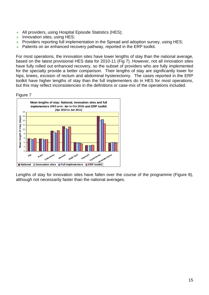- All providers, using Hospital Episode Statistics (HES);
- Innovation sites, using HES; ö
- Providers reporting full implementation in the Spread and adoption survey, using HES;  $\bullet$
- Patients on an enhanced recovery pathway, reported in the ERP toolkit. ö

For most operations, the innovation sites have lower lengths of stay than the national average, based on the latest provisional HES data for 2010-11 (Fig 7). However, not all innovation sites have fully rolled out enhanced recovery, so the subset of providers who are fully implemented for the specialty provide a better comparison. Their lengths of stay are significantly lower for hips, knees, excision of rectum and abdominal hysterectomy. The cases reported in the ERP toolkit have higher lengths of stay than the full implementers do in HES for most operations, but this may reflect inconsistencies in the definitions or case-mix of the operations included.





Lengths of stay for innovation sites have fallen over the course of the programme (Figure 8), although not necessarily faster than the national averages.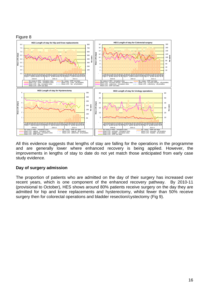

All this evidence suggests that lengths of stay are falling for the operations in the programme and are generally lower where enhanced recovery is being applied. However, the improvements in lengths of stay to date do not yet match those anticipated from early case study evidence.

#### Day of surgery admission

The proportion of patients who are admitted on the day of their surgery has increased over recent years, which is one component of the enhanced recovery pathway. By 2010-11 (provisional to October), HES shows around 80% patients receive surgery on the day they are admitted for hip and knee replacements and hysterectomy, whilst fewer than 50% receive surgery then for colorectal operations and bladder resection/cystectomy (Fig 9).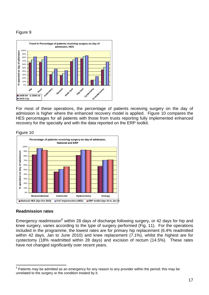### Figure 9



For most of these operations, the percentage of patients receiving surgery on the day of admission is higher where the enhanced recovery model is applied. Figure 10 compares the HES percentages for all patients with those from trusts reporting fully implemented enhanced recovery for the specialty and with the data reported on the ERP toolkit.

#### Figure 10



#### **eadmission rates R**

Emergency readmission<sup>[6](#page-17-0)</sup> within 28 days of discharge following surgery, or 42 days for hip and knee surgery, varies according to the type of surgery performed (Fig. 11). For the operations included in the programme, the lowest rates are for primary hip replacement (6.4% readmitted within 42 days, Jan to June 2010) and knee replacement (7.1%), whilst the highest are for cystectomy (18% readmitted within 28 days) and excision of rectum (14.5%). These rates have not changed significantly over recent years.

<span id="page-17-0"></span><sup>–&</sup>lt;br>6 Patients may be admitted as an emergency for any reason to any provider within the period; this may be unrelated to the surgery or the condition treated by it.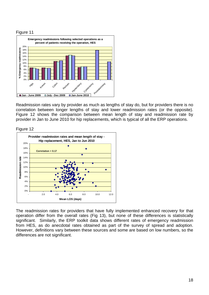#### Figure 11



Readmission rates vary by provider as much as lengths of stay do, but for providers there is no correlation between longer lengths of stay and lower readmission rates (or the opposite). Figure 12 shows the comparison between mean length of stay and readmission rate by provider in Jan to June 2010 for hip replacements, which is typical of all the ERP operations.

Figure 12



The readmission rates for providers that have fully implemented enhanced recovery for that operation differ from the overall rates (Fig 13), but none of these differences is statistically significant. Similarly, the ERP toolkit data shows different rates of emergency readmission from HES, as do anecdotal rates obtained as part of the survey of spread and adoption. However, definitions vary between these sources and some are based on low numbers, so the differences are not significant.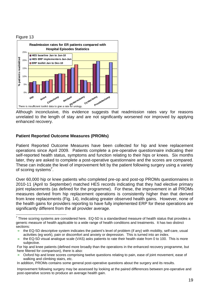



Although inconclusive, this evidence suggests that readmission rates vary for reasons unrelated to the length of stay and are not significantly worsened nor improved by applying enhanced recovery.

#### **Patient Reported Outcome Measures (PROMs)**

Patient Reported Outcome Measures have been collected for hip and knee replacement operations since April 2009. Patients complete a pre-operative questionnaire indicating their self-reported health status, symptoms and function relating to their hips or knees. Six months later, they are asked to complete a post-operative questionnaire and the scores are compared. These can indicat[e t](#page-19-0)he level of improvement felt by the patient following surgery using a variety of scoring systems<sup>7</sup>.

Over 60,000 hip or knee patients who completed pre-op and post-op PROMs questionnaires in significantly different from the all provider average. 2010-11 (April to September) matched HES records indicating that they had elective primary joint replacements (as defined for the programme). For these, the improvement in all PROMs measures derived from hip replacement operations is consistently higher than that derived from knee replacements (Fig. 14), indicating greater observed health gains. However, none of the health gains for providers reporting to have fully implemented ERP for these operations are

Oxford hip and knee scores comprising twelve questions relating to pain, ease of joint movement, ease of walking and climbing stairs, etc.

<span id="page-19-0"></span> 7 Three scoring systems are considered here. EQ-5D is a standardised measure of health status that provides a generic measure of health applicable to a wide range of health conditions and treatments. It has two distinct sections:

the EQ-5D descriptive system indicates the patient's level of problem (if any) with mobility, self-care, usual activities (eg work), pain or discomfort and anxiety or depression. This is turned into an index.

the EQ-5D visual analogue scale (VAS) asks patients to rate their health state from 0 to 100. This is more subjective.

For hip and knee patients (defined more broadly than the operations in the enhanced recovery programme, but here filtered for comparison), there is also:

In addition, PROMs contains some general post-operative questions about the surgery and its results.

Improvement following surgery may be assessed by looking at the paired differences between pre-operative and post-operative scores to produce an average health gain.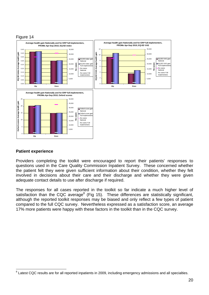

#### **Patient experience**

Providers completing the toolkit were encouraged to report their patients' responses to questions used in the Care Quality Commission Inpatient Survey. These concerned whether the patient felt they were given sufficient information about their condition, whether they felt involved in decisions about their care and their discharge and whether they were given adequate contact details to use after discharge if required.

The responses for all cases repo[rte](#page-20-0)d in the toolkit so far indicate a much higher level of satisfaction than the CQC average $8$  (Fig 15). These differences are statistically significant, although the reported toolkit responses may be biased and only reflect a few types of patient compared to the full CQC survey. Nevertheless expressed as a satisfaction score, an average 17% more patients were happy with these factors in the toolkit than in the CQC survey.

<span id="page-20-0"></span><sup>1</sup> <sup>8</sup> Latest CQC results are for all reported inpatients in 2009, including emergency admissions and all specialties.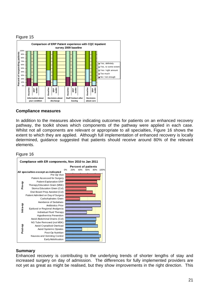#### Figure 15



#### **Compliance measures**

In addition to the measures above indicating outcomes for patients on an enhanced recovery pathway, the toolkit shows which components of the pathway were applied in each case. Whilst not all components are relevant or appropriate to all specialties, Figure 16 shows the extent to which they are applied. Although full implementation of enhanced recovery is locally determined, guidance suggested that patients should receive around 80% of the relevant elements.

#### Figure 16



#### **Summary**

Enhanced recovery is contributing to the underlying trends of shorter lengths of stay and increased surgery on day of admission. The differences for fully implemented providers are not yet as great as might be realised, but they show improvements in the right direction. This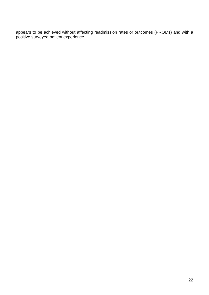appears to be achieved without affecting readmission rates or outcomes (PROMs) and with a positive surveyed patient experience.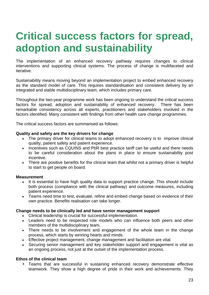# **Critical success factors for spread, adoption and sustainability**

The implementation of an enhanced recovery pathway requires changes to clinical interventions and supporting clinical systems. The process of change is multifaceted and iterative.

Sustainability means moving beyond an implementation project to embed enhanced recovery as the standard model of care. This requires standardisation and consistent delivery by an integrated and stable multidisciplinary team, which includes primary care.

Throughout the two-year programme work has been ongoing to understand the critical success factors for spread, adoption and sustainability of enhanced recovery. There has been remarkable consistency across all experts, practitioners and stakeholders involved in the factors identified. Many consistent with findings from other health care change programmes.

The critical success factors are summarised as follows:

#### **Quality and safety are the key drivers for change**

- The primary driver for clinical teams to adopt enhanced recovery is to improve clinical quality, patient safety and patient experience.
- Incentives such as CQUINS and PbR best practice tariff can be useful and there needs to be careful consideration about the plans in place to ensure sustainability post incentive.
- There are positive benefits for the clinical team that whilst not a primary driver is helpful to start to get people on board.

#### **Measurement**

- It is essential to have high quality data to support practice change. This should include both process (compliance with the clinical pathway) and outcome measures, including patient experience.
- Teams need time to test, evaluate, refine and embed change based on evidence of their own practice. Benefits realisation can take longer.

#### **Change needs to be clinically led and have senior management support**

- Clinical leadership is crucial for successful implementation.
- Leaders need to be respected role models who can influence both peers and other members of the multidisciplinary team.
- There needs to be involvement and engagement of the whole team in the change process, which starts by winning hearts and minds.
- Effective project management, change management and facilitation are vital.
- Securing senior management and key stakeholder support and engagement is vital as an ongoing process, not just at the outset of the implementation process.

#### **Ethos of the clinical team**

• Teams that are successful in sustaining enhanced recovery demonstrate effective teamwork. They show a high degree of pride in their work and achievements. They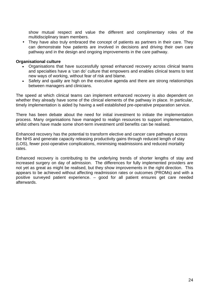show mutual respect and value the different and complimentary roles of the multidisciplinary team members.

• They have also truly embraced the concept of patients as partners in their care. They can demonstrate how patients are involved in decisions and driving their own care pathway and in the design and ongoing improvements in the care pathway.

#### **Organisational culture**

- Organisations that have successfully spread enhanced recovery across clinical teams and specialties have a 'can do' culture that empowers and enables clinical teams to test new ways of working, without fear of risk and blame.
- Safety and quality are high on the executive agenda and there are strong relationships between managers and clinicians.

The speed at which clinical teams can implement enhanced recovery is also dependent on whether they already have some of the clinical elements of the pathway in place. In particular, timely implementation is aided by having a well established pre-operative preparation service.

There has been debate about the need for initial investment to initiate the implementation process. Many organisations have managed to realign resources to support implementation, whilst others have made some short-term investment until benefits can be realised.

Enhanced recovery has the potential to transform elective and cancer care pathways across the NHS and generate capacity releasing productivity gains through reduced length of stay (LOS), fewer post-operative complications, minimising readmissions and reduced mortality rates.

Enhanced recovery is contributing to the underlying trends of shorter lengths of stay and increased surgery on day of admission. The differences for fully implemented providers are not yet as great as might be realised, but they show improvements in the right direction. This appears to be achieved without affecting readmission rates or outcomes (PROMs) and with a positive surveyed patient experience. – good for all patient ensures get care needed afterwards.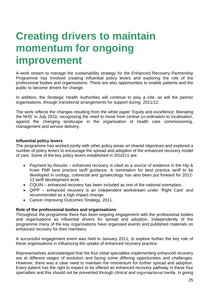## **Creating drivers to maintain momentum for ongoing improvement**

A work stream to manage the sustainability strategy for the Enhanced Recovery Partnership Programme has involved creating influential policy levers and exploring the role of the professional bodies and organisations. There are also opportunities to enable patients and the public to become drivers for change.

In addition, the Strategic Health Authorities will continue to play a role, as will the partner organisations, through transitional arrangements for support during 2011/12.

The work reflects the changes resulting from the white paper 'Equity and excellence; liberating the NHS' in July 2010, recognising the need to move from central co-ordination to localisation, against the changing landscape in the organisation of health care commissioning, management and service delivery.

#### **Influential policy levers**

The programme has worked jointly with other policy areas on shared objectives and explored a number of policy levers to encourage the spread and adoption of the enhanced recovery model of care. Some of the key policy levers established in 2010/11 are:

- Payment by Results enhanced recovery is cited as a source of evidence in the Hip & Knee PbR best practice tariff guidance. A nomination for best practice tariff to be developed in urology, colorectal and gynaecology has also been put forward for 2012- 13 tariff development work.
- CQUIN enhanced recovery has been included as one of the national exemplars.
- QIPP enhanced recovery is an independent workstream under 'Right Care' and recommended as a high impact change.
- Cancer Improving Outcomes Strategy, 2011.

#### **Role of the professional bodies and organisations**

Throughout the programme there has been ongoing engagement with the professional bodies and organisations as influential drivers for spread and adoption. Independently of the programme many of the key organisations have organised events and published materials on enhanced recovery for their members.

A successful engagement event was held in January 2011, to explore further the key role of these organisations in influencing the uptake of enhanced recovery practice.

Representatives acknowledged that the four initial specialties implementing enhanced recovery are at different stages of evolution and facing some differing opportunities and challenges. However, there was a clear need to maintain the momentum for further spread and adoption. Every patient has the right to expect to be offered an enhanced recovery pathway in these four specialties and this should not be prevented through clinical and organisational inertia. In giving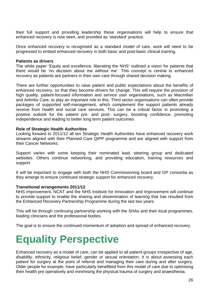their full support and providing leadership these organisations will help to ensure that enhanced recovery is now seen, and provided as 'standard' practice.

Once enhanced recovery is recognised as a standard model of care, work will need to be progressed to embed enhanced recovery in both basic and post-basic clinical training.

#### **Patients as drivers**

The white paper 'Equity and excellence; liberating the NHS' outlined a vision for patients that there would be 'no decision about me without me'. This concept is central to enhanced recovery as patients are partners in their own care through shared decision making.

There are further opportunities to raise patient and public expectations about the benefits of enhanced recovery, so that they become drivers for change. This will require the provision of high quality, patient-focused information and service user organisations, such as Macmillan and Arthritis Care, to play an important role in this. Third sector organisations can often provide packages of supported self-management, which complement the support patients already receive from health and social care services. This can be a critical factor in promoting a positive outlook for the patient pre- and post- surgery, boosting confidence, promoting independence and leading to better long term patient outcomes

#### **Role of Strategic Health Authorities**

Looking forward to 2011/12 all ten Strategic Health Authorities have enhanced recovery work streams aligned with their Planned Care QIPP programme and are aligned with support from their Cancer Networks.

Support varies with some keeping their nominated lead, steering group and dedicated websites. Others continue networking, and providing education, training resources and support.

It will be important to engage with both the NHS Commissioning board and GP consortia as they emerge to ensure continued strategic support for enhanced recovery.

#### **Transitional arrangements 2011/12**

NHS Improvement, NCAT and the NHS Institute for Innovation and Improvement will continue to provide support to enable the sharing and dissemination of learning that has resulted from the Enhanced Recovery Partnership Programme during the last two years.

This will be through continuing partnership working with the SHAs and their local programmes, leading clinicians and the professional bodies.

The goal is to ensure the continued momentum of adoption and spread of enhanced recovery.

### **Equality Perspective**

Enhanced recovery as a model of care, can be applied to all patient groups irrespective of age, disability, ethnicity, religious belief, gender or sexual orientation. It is about assessing each patient for surgery at the point of referral and managing their care during and after surgery. Older people for example, have particularly benefitted from this model of care due to optimising their health pre operatively and minimising the physical trauma of surgery and anaesthesia.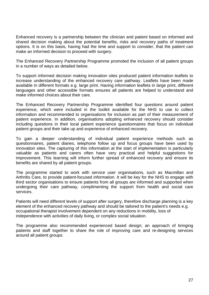Enhanced recovery is a partnership between the clinician and patient based on informed and shared decision making about the potential benefits, risks and recovery paths of treatment options. It is on this basis, having had the time and support to consider, that the patient can make an informed decision to proceed with surgery.

The Enhanced Recovery Partnership Programme promoted the inclusion of all patient groups in a number of ways as detailed below.

To support informed decision making innovation sites produced patient information leaflets to increase understanding of the enhanced recovery care pathway. Leaflets have been made available in different formats e.g. large print. Having information leaflets in large print, different languages and other accessible formats ensures all patients are helped to understand and make informed choices about their care.

The Enhanced Recovery Partnership Programme identified four questions around patient experience, which were included in the toolkit available for the NHS to use to collect information and recommended to organisations for inclusion as part of their measurement of patient experience. In addition, organisations adopting enhanced recovery should consider including questions in their local patient experience questionnaires that focus on individual patient groups and their take up and experience of enhanced recovery.

To gain a deeper understanding of individual patient experience methods such as questionnaires, patient diaries, telephone follow up and focus groups have been used by innovation sites. The capturing of this information at the start of implementation is particularly valuable as patients and carers often have very practical and helpful suggestions for improvement. This learning will inform further spread of enhanced recovery and ensure its benefits are shared by all patient groups.

The programme started to work with service user organisations, such as Macmillan and Arthritis Care, to provide patient-focused information. It will be key for the NHS to engage with third sector organisations to ensure patients from all groups are informed and supported when undergoing their care pathway, complimenting the support from health and social care services.

Patients will need different levels of support after surgery, therefore discharge planning is a key element of the enhanced recovery pathway and should be tailored to the patient's needs e.g. occupational therapist involvement dependent on any reductions in mobility, loss of independence with activities of daily living, or complex social situation.

The programme also recommended experienced based design; an approach of bringing patients and staff together to share the role of improving care and re-designing services around all patient groups.